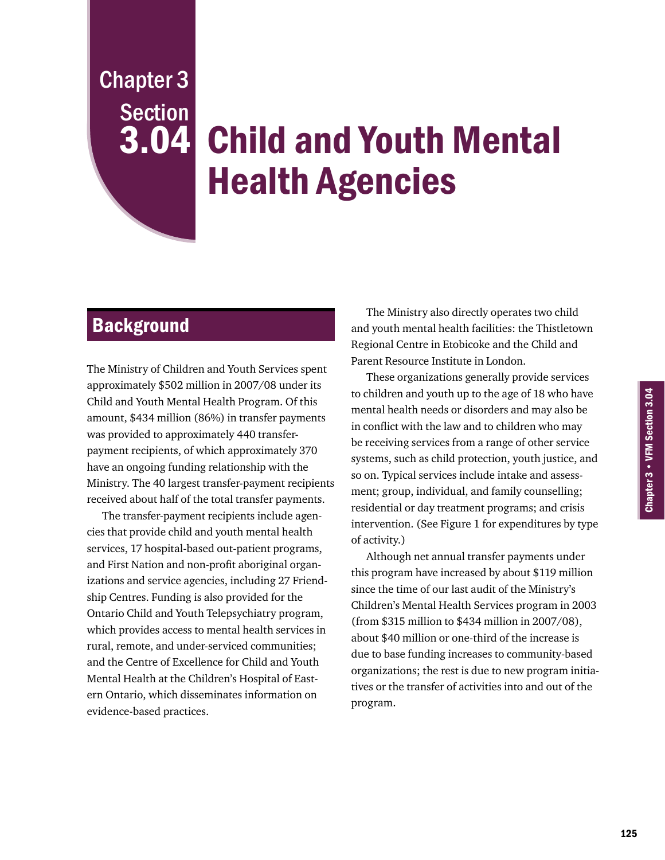Chapter 3 • VFM Section 3.04

Chapter 3 • VFM Section 3.04

Chapter 3 Section

# **3.04 Child and Youth Mental** Health Agencies

# **Background**

The Ministry of Children and Youth Services spent approximately \$502 million in 2007/08 under its Child and Youth Mental Health Program. Of this amount, \$434 million (86%) in transfer payments was provided to approximately 440 transferpayment recipients, of which approximately 370 have an ongoing funding relationship with the Ministry. The 40 largest transfer-payment recipients received about half of the total transfer payments.

The transfer-payment recipients include agencies that provide child and youth mental health services, 17 hospital-based out-patient programs, and First Nation and non-profit aboriginal organizations and service agencies, including 27 Friendship Centres. Funding is also provided for the Ontario Child and Youth Telepsychiatry program, which provides access to mental health services in rural, remote, and under-serviced communities; and the Centre of Excellence for Child and Youth Mental Health at the Children's Hospital of Eastern Ontario, which disseminates information on evidence-based practices.

The Ministry also directly operates two child and youth mental health facilities: the Thistletown Regional Centre in Etobicoke and the Child and Parent Resource Institute in London.

These organizations generally provide services to children and youth up to the age of 18 who have mental health needs or disorders and may also be in conflict with the law and to children who may be receiving services from a range of other service systems, such as child protection, youth justice, and so on. Typical services include intake and assessment; group, individual, and family counselling; residential or day treatment programs; and crisis intervention. (See Figure 1 for expenditures by type of activity.)

Although net annual transfer payments under this program have increased by about \$119 million since the time of our last audit of the Ministry's Children's Mental Health Services program in 2003 (from \$315 million to \$434 million in 2007/08), about \$40 million or one-third of the increase is due to base funding increases to community-based organizations; the rest is due to new program initiatives or the transfer of activities into and out of the program.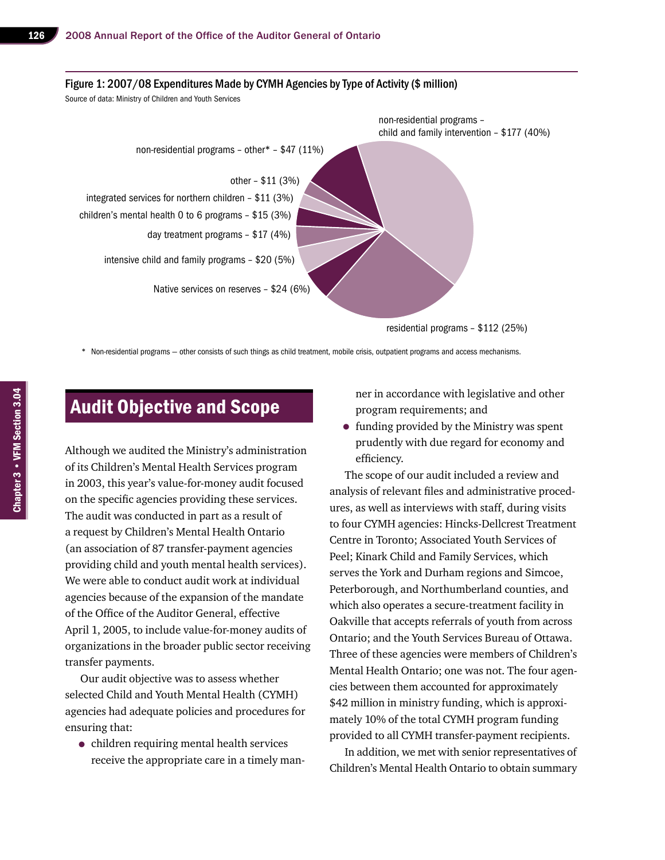

\* Non-residential programs — other consists of such things as child treatment, mobile crisis, outpatient programs and access mechanisms.

# Audit Objective and Scope

Although we audited the Ministry's administration of its Children's Mental Health Services program in 2003, this year's value-for-money audit focused on the specific agencies providing these services. The audit was conducted in part as a result of a request by Children's Mental Health Ontario (an association of 87 transfer-payment agencies providing child and youth mental health services). We were able to conduct audit work at individual agencies because of the expansion of the mandate of the Office of the Auditor General, effective April 1, 2005, to include value-for-money audits of organizations in the broader public sector receiving transfer payments.

Our audit objective was to assess whether selected Child and Youth Mental Health (CYMH) agencies had adequate policies and procedures for ensuring that:

• children requiring mental health services receive the appropriate care in a timely manner in accordance with legislative and other program requirements; and

• funding provided by the Ministry was spent prudently with due regard for economy and efficiency.

The scope of our audit included a review and analysis of relevant files and administrative procedures, as well as interviews with staff, during visits to four CYMH agencies: Hincks-Dellcrest Treatment Centre in Toronto; Associated Youth Services of Peel; Kinark Child and Family Services, which serves the York and Durham regions and Simcoe, Peterborough, and Northumberland counties, and which also operates a secure-treatment facility in Oakville that accepts referrals of youth from across Ontario; and the Youth Services Bureau of Ottawa. Three of these agencies were members of Children's Mental Health Ontario; one was not. The four agencies between them accounted for approximately \$42 million in ministry funding, which is approximately 10% of the total CYMH program funding provided to all CYMH transfer-payment recipients.

In addition, we met with senior representatives of Children's Mental Health Ontario to obtain summary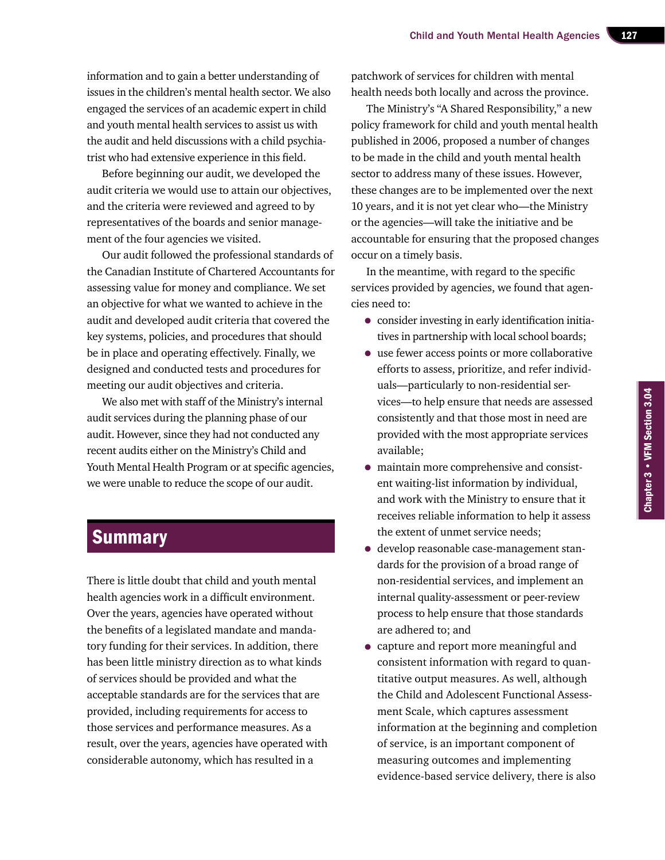information and to gain a better understanding of issues in the children's mental health sector. We also engaged the services of an academic expert in child and youth mental health services to assist us with the audit and held discussions with a child psychiatrist who had extensive experience in this field.

Before beginning our audit, we developed the audit criteria we would use to attain our objectives, and the criteria were reviewed and agreed to by representatives of the boards and senior management of the four agencies we visited.

Our audit followed the professional standards of the Canadian Institute of Chartered Accountants for assessing value for money and compliance. We set an objective for what we wanted to achieve in the audit and developed audit criteria that covered the key systems, policies, and procedures that should be in place and operating effectively. Finally, we designed and conducted tests and procedures for meeting our audit objectives and criteria.

We also met with staff of the Ministry's internal audit services during the planning phase of our audit. However, since they had not conducted any recent audits either on the Ministry's Child and Youth Mental Health Program or at specific agencies, we were unable to reduce the scope of our audit.

## **Summary**

There is little doubt that child and youth mental health agencies work in a difficult environment. Over the years, agencies have operated without the benefits of a legislated mandate and mandatory funding for their services. In addition, there has been little ministry direction as to what kinds of services should be provided and what the acceptable standards are for the services that are provided, including requirements for access to those services and performance measures. As a result, over the years, agencies have operated with considerable autonomy, which has resulted in a

patchwork of services for children with mental health needs both locally and across the province.

The Ministry's "A Shared Responsibility," a new policy framework for child and youth mental health published in 2006, proposed a number of changes to be made in the child and youth mental health sector to address many of these issues. However, these changes are to be implemented over the next 10 years, and it is not yet clear who—the Ministry or the agencies—will take the initiative and be accountable for ensuring that the proposed changes occur on a timely basis.

In the meantime, with regard to the specific services provided by agencies, we found that agencies need to:

- consider investing in early identification initiatives in partnership with local school boards;
- use fewer access points or more collaborative efforts to assess, prioritize, and refer individuals—particularly to non-residential services—to help ensure that needs are assessed consistently and that those most in need are provided with the most appropriate services available;
- maintain more comprehensive and consistent waiting-list information by individual, and work with the Ministry to ensure that it receives reliable information to help it assess the extent of unmet service needs;
- develop reasonable case-management standards for the provision of a broad range of non-residential services, and implement an internal quality-assessment or peer-review process to help ensure that those standards are adhered to; and
- capture and report more meaningful and consistent information with regard to quantitative output measures. As well, although the Child and Adolescent Functional Assessment Scale, which captures assessment information at the beginning and completion of service, is an important component of measuring outcomes and implementing evidence-based service delivery, there is also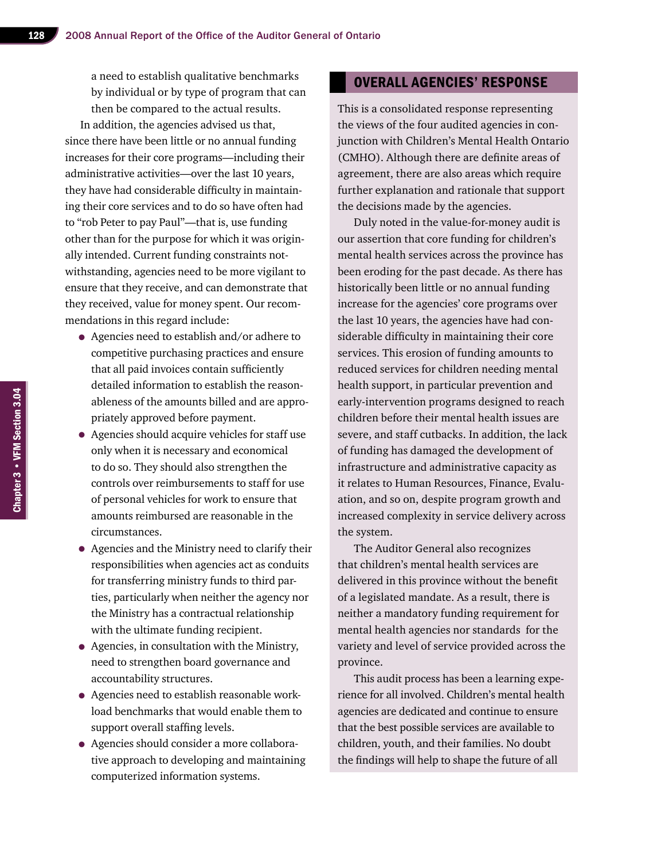a need to establish qualitative benchmarks by individual or by type of program that can then be compared to the actual results.

In addition, the agencies advised us that, since there have been little or no annual funding increases for their core programs—including their administrative activities—over the last 10 years, they have had considerable difficulty in maintaining their core services and to do so have often had to "rob Peter to pay Paul"—that is, use funding other than for the purpose for which it was originally intended. Current funding constraints notwithstanding, agencies need to be more vigilant to ensure that they receive, and can demonstrate that they received, value for money spent. Our recommendations in this regard include:

- Agencies need to establish and/or adhere to competitive purchasing practices and ensure that all paid invoices contain sufficiently detailed information to establish the reasonableness of the amounts billed and are appropriately approved before payment.
- Agencies should acquire vehicles for staff use only when it is necessary and economical to do so. They should also strengthen the controls over reimbursements to staff for use of personal vehicles for work to ensure that amounts reimbursed are reasonable in the circumstances.
- Agencies and the Ministry need to clarify their responsibilities when agencies act as conduits for transferring ministry funds to third parties, particularly when neither the agency nor the Ministry has a contractual relationship with the ultimate funding recipient.
- Agencies, in consultation with the Ministry, need to strengthen board governance and accountability structures.
- Agencies need to establish reasonable workload benchmarks that would enable them to support overall staffing levels.
- Agencies should consider a more collaborative approach to developing and maintaining computerized information systems.

#### Overall Agencies' Response

This is a consolidated response representing the views of the four audited agencies in conjunction with Children's Mental Health Ontario (CMHO). Although there are definite areas of agreement, there are also areas which require further explanation and rationale that support the decisions made by the agencies.

Duly noted in the value-for-money audit is our assertion that core funding for children's mental health services across the province has been eroding for the past decade. As there has historically been little or no annual funding increase for the agencies' core programs over the last 10 years, the agencies have had considerable difficulty in maintaining their core services. This erosion of funding amounts to reduced services for children needing mental health support, in particular prevention and early-intervention programs designed to reach children before their mental health issues are severe, and staff cutbacks. In addition, the lack of funding has damaged the development of infrastructure and administrative capacity as it relates to Human Resources, Finance, Evaluation, and so on, despite program growth and increased complexity in service delivery across the system.

The Auditor General also recognizes that children's mental health services are delivered in this province without the benefit of a legislated mandate. As a result, there is neither a mandatory funding requirement for mental health agencies nor standards for the variety and level of service provided across the province.

This audit process has been a learning experience for all involved. Children's mental health agencies are dedicated and continue to ensure that the best possible services are available to children, youth, and their families. No doubt the findings will help to shape the future of all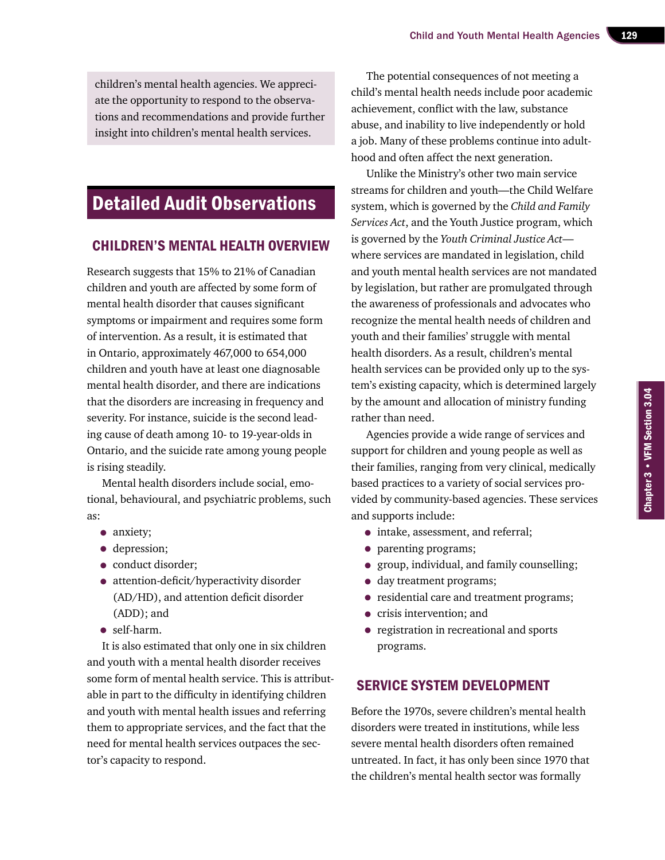children's mental health agencies. We appreciate the opportunity to respond to the observations and recommendations and provide further insight into children's mental health services.

# Detailed Audit Observations

#### Children's Mental Health Overview

Research suggests that 15% to 21% of Canadian children and youth are affected by some form of mental health disorder that causes significant symptoms or impairment and requires some form of intervention. As a result, it is estimated that in Ontario, approximately 467,000 to 654,000 children and youth have at least one diagnosable mental health disorder, and there are indications that the disorders are increasing in frequency and severity. For instance, suicide is the second leading cause of death among 10- to 19-year-olds in Ontario, and the suicide rate among young people is rising steadily.

Mental health disorders include social, emotional, behavioural, and psychiatric problems, such as:

- anxiety;
- depression;
- conduct disorder;
- attention-deficit/hyperactivity disorder (AD/HD), and attention deficit disorder (ADD); and
- self-harm.

It is also estimated that only one in six children and youth with a mental health disorder receives some form of mental health service. This is attributable in part to the difficulty in identifying children and youth with mental health issues and referring them to appropriate services, and the fact that the need for mental health services outpaces the sector's capacity to respond.

The potential consequences of not meeting a child's mental health needs include poor academic achievement, conflict with the law, substance abuse, and inability to live independently or hold a job. Many of these problems continue into adulthood and often affect the next generation.

Unlike the Ministry's other two main service streams for children and youth—the Child Welfare system, which is governed by the *Child and Family Services Act*, and the Youth Justice program, which is governed by the *Youth Criminal Justice Act* where services are mandated in legislation, child and youth mental health services are not mandated by legislation, but rather are promulgated through the awareness of professionals and advocates who recognize the mental health needs of children and youth and their families' struggle with mental health disorders. As a result, children's mental health services can be provided only up to the system's existing capacity, which is determined largely by the amount and allocation of ministry funding rather than need.

Agencies provide a wide range of services and support for children and young people as well as their families, ranging from very clinical, medically based practices to a variety of social services provided by community-based agencies. These services and supports include:

- intake, assessment, and referral;
- parenting programs;
- group, individual, and family counselling;
- day treatment programs;
- residential care and treatment programs;
- crisis intervention; and
- registration in recreational and sports programs.

#### Service System Development

Before the 1970s, severe children's mental health disorders were treated in institutions, while less severe mental health disorders often remained untreated. In fact, it has only been since 1970 that the children's mental health sector was formally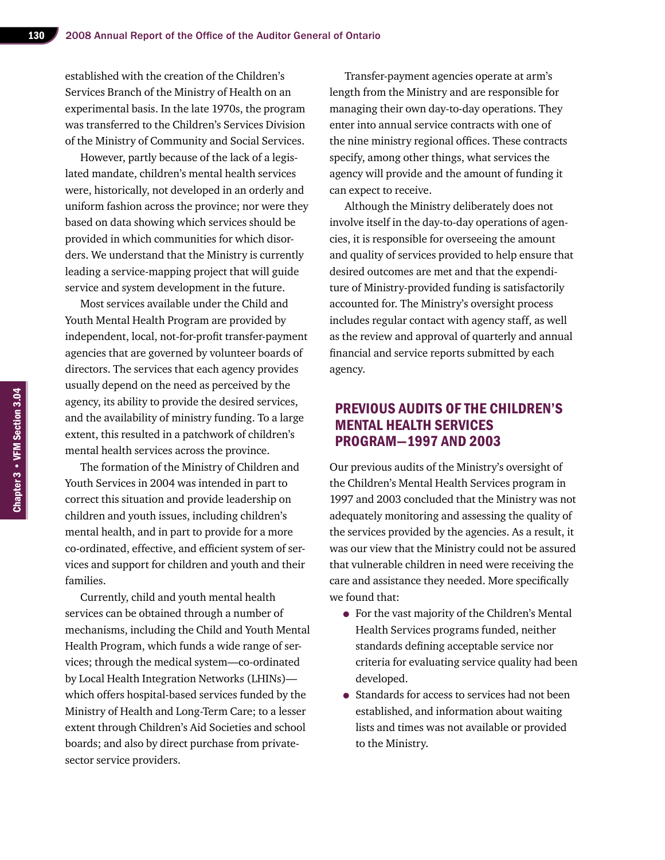established with the creation of the Children's Services Branch of the Ministry of Health on an experimental basis. In the late 1970s, the program was transferred to the Children's Services Division of the Ministry of Community and Social Services.

However, partly because of the lack of a legislated mandate, children's mental health services were, historically, not developed in an orderly and uniform fashion across the province; nor were they based on data showing which services should be provided in which communities for which disorders. We understand that the Ministry is currently leading a service-mapping project that will guide service and system development in the future.

Most services available under the Child and Youth Mental Health Program are provided by independent, local, not-for-profit transfer-payment agencies that are governed by volunteer boards of directors. The services that each agency provides usually depend on the need as perceived by the agency, its ability to provide the desired services, and the availability of ministry funding. To a large extent, this resulted in a patchwork of children's mental health services across the province.

The formation of the Ministry of Children and Youth Services in 2004 was intended in part to correct this situation and provide leadership on children and youth issues, including children's mental health, and in part to provide for a more co-ordinated, effective, and efficient system of services and support for children and youth and their families.

Currently, child and youth mental health services can be obtained through a number of mechanisms, including the Child and Youth Mental Health Program, which funds a wide range of services; through the medical system—co-ordinated by Local Health Integration Networks (LHINs) which offers hospital-based services funded by the Ministry of Health and Long-Term Care; to a lesser extent through Children's Aid Societies and school boards; and also by direct purchase from privatesector service providers.

Transfer-payment agencies operate at arm's length from the Ministry and are responsible for managing their own day-to-day operations. They enter into annual service contracts with one of the nine ministry regional offices. These contracts specify, among other things, what services the agency will provide and the amount of funding it can expect to receive.

Although the Ministry deliberately does not involve itself in the day-to-day operations of agencies, it is responsible for overseeing the amount and quality of services provided to help ensure that desired outcomes are met and that the expenditure of Ministry-provided funding is satisfactorily accounted for. The Ministry's oversight process includes regular contact with agency staff, as well as the review and approval of quarterly and annual financial and service reports submitted by each agency.

#### Previous Audits of the Children's Mental Health Services Program—1997 and 2003

Our previous audits of the Ministry's oversight of the Children's Mental Health Services program in 1997 and 2003 concluded that the Ministry was not adequately monitoring and assessing the quality of the services provided by the agencies. As a result, it was our view that the Ministry could not be assured that vulnerable children in need were receiving the care and assistance they needed. More specifically we found that:

- For the vast majority of the Children's Mental Health Services programs funded, neither standards defining acceptable service nor criteria for evaluating service quality had been developed.
- Standards for access to services had not been established, and information about waiting lists and times was not available or provided to the Ministry.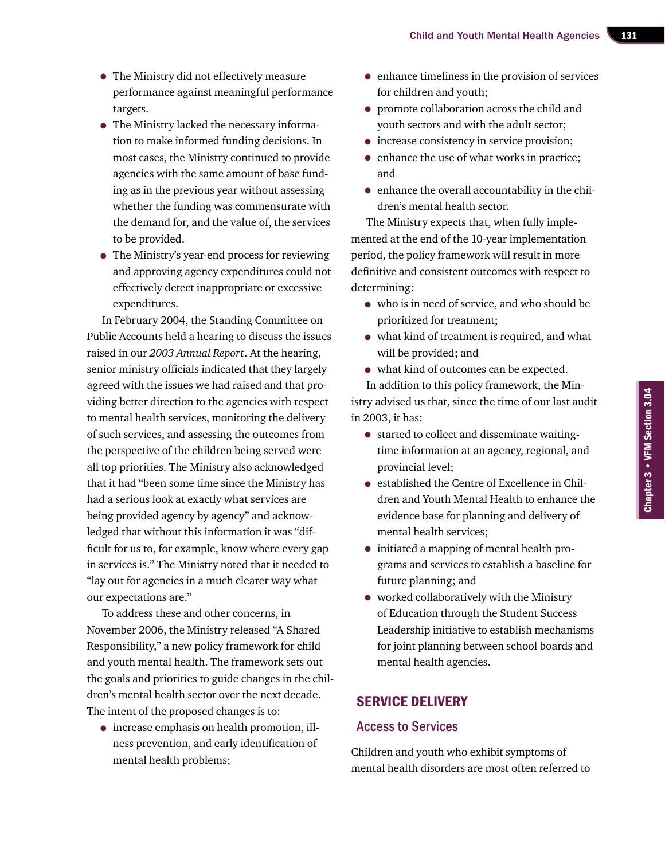- The Ministry did not effectively measure performance against meaningful performance targets.
- The Ministry lacked the necessary information to make informed funding decisions. In most cases, the Ministry continued to provide agencies with the same amount of base funding as in the previous year without assessing whether the funding was commensurate with the demand for, and the value of, the services to be provided.
- The Ministry's year-end process for reviewing and approving agency expenditures could not effectively detect inappropriate or excessive expenditures.

In February 2004, the Standing Committee on Public Accounts held a hearing to discuss the issues raised in our *2003 Annual Report*. At the hearing, senior ministry officials indicated that they largely agreed with the issues we had raised and that providing better direction to the agencies with respect to mental health services, monitoring the delivery of such services, and assessing the outcomes from the perspective of the children being served were all top priorities. The Ministry also acknowledged that it had "been some time since the Ministry has had a serious look at exactly what services are being provided agency by agency" and acknowledged that without this information it was "difficult for us to, for example, know where every gap in services is." The Ministry noted that it needed to "lay out for agencies in a much clearer way what our expectations are."

To address these and other concerns, in November 2006, the Ministry released "A Shared Responsibility," a new policy framework for child and youth mental health. The framework sets out the goals and priorities to guide changes in the children's mental health sector over the next decade. The intent of the proposed changes is to:

• increase emphasis on health promotion, illness prevention, and early identification of mental health problems;

- enhance timeliness in the provision of services for children and youth;
- promote collaboration across the child and youth sectors and with the adult sector;
- increase consistency in service provision;
- enhance the use of what works in practice; and
- enhance the overall accountability in the children's mental health sector.

The Ministry expects that, when fully implemented at the end of the 10-year implementation period, the policy framework will result in more definitive and consistent outcomes with respect to determining:

- who is in need of service, and who should be prioritized for treatment;
- what kind of treatment is required, and what will be provided; and
- what kind of outcomes can be expected.

In addition to this policy framework, the Ministry advised us that, since the time of our last audit in 2003, it has:

- started to collect and disseminate waitingtime information at an agency, regional, and provincial level;
- established the Centre of Excellence in Children and Youth Mental Health to enhance the evidence base for planning and delivery of mental health services;
- initiated a mapping of mental health programs and services to establish a baseline for future planning; and
- worked collaboratively with the Ministry of Education through the Student Success Leadership initiative to establish mechanisms for joint planning between school boards and mental health agencies.

#### Service Delivery

#### Access to Services

Children and youth who exhibit symptoms of mental health disorders are most often referred to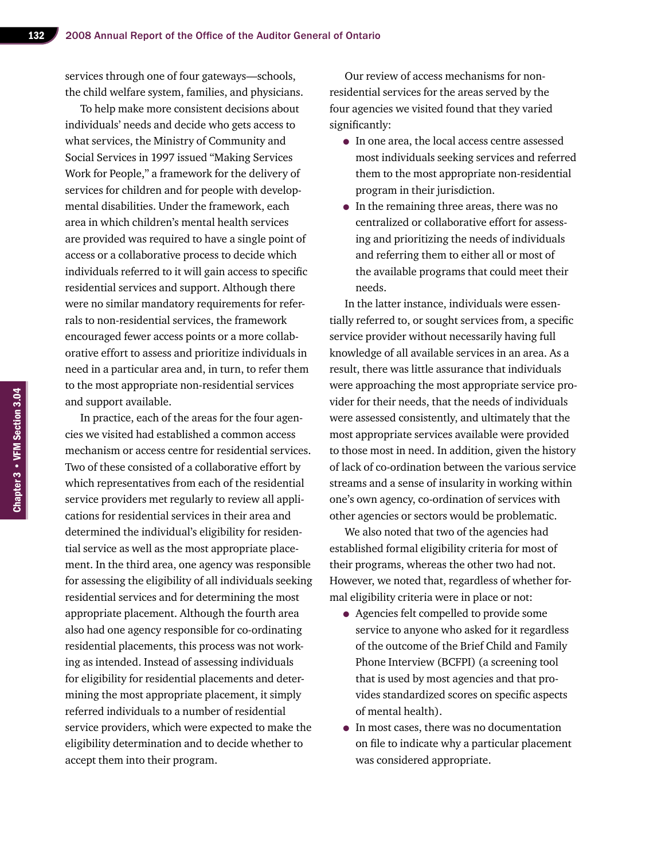services through one of four gateways—schools, the child welfare system, families, and physicians.

To help make more consistent decisions about individuals' needs and decide who gets access to what services, the Ministry of Community and Social Services in 1997 issued "Making Services Work for People," a framework for the delivery of services for children and for people with developmental disabilities. Under the framework, each area in which children's mental health services are provided was required to have a single point of access or a collaborative process to decide which individuals referred to it will gain access to specific residential services and support. Although there were no similar mandatory requirements for referrals to non-residential services, the framework encouraged fewer access points or a more collaborative effort to assess and prioritize individuals in need in a particular area and, in turn, to refer them to the most appropriate non-residential services and support available.

In practice, each of the areas for the four agencies we visited had established a common access mechanism or access centre for residential services. Two of these consisted of a collaborative effort by which representatives from each of the residential service providers met regularly to review all applications for residential services in their area and determined the individual's eligibility for residential service as well as the most appropriate placement. In the third area, one agency was responsible for assessing the eligibility of all individuals seeking residential services and for determining the most appropriate placement. Although the fourth area also had one agency responsible for co-ordinating residential placements, this process was not working as intended. Instead of assessing individuals for eligibility for residential placements and determining the most appropriate placement, it simply referred individuals to a number of residential service providers, which were expected to make the eligibility determination and to decide whether to accept them into their program.

Our review of access mechanisms for nonresidential services for the areas served by the four agencies we visited found that they varied significantly:

- In one area, the local access centre assessed most individuals seeking services and referred them to the most appropriate non-residential program in their jurisdiction.
- In the remaining three areas, there was no centralized or collaborative effort for assessing and prioritizing the needs of individuals and referring them to either all or most of the available programs that could meet their needs.

In the latter instance, individuals were essentially referred to, or sought services from, a specific service provider without necessarily having full knowledge of all available services in an area. As a result, there was little assurance that individuals were approaching the most appropriate service provider for their needs, that the needs of individuals were assessed consistently, and ultimately that the most appropriate services available were provided to those most in need. In addition, given the history of lack of co-ordination between the various service streams and a sense of insularity in working within one's own agency, co-ordination of services with other agencies or sectors would be problematic.

We also noted that two of the agencies had established formal eligibility criteria for most of their programs, whereas the other two had not. However, we noted that, regardless of whether formal eligibility criteria were in place or not:

- Agencies felt compelled to provide some service to anyone who asked for it regardless of the outcome of the Brief Child and Family Phone Interview (BCFPI) (a screening tool that is used by most agencies and that provides standardized scores on specific aspects of mental health).
- In most cases, there was no documentation on file to indicate why a particular placement was considered appropriate.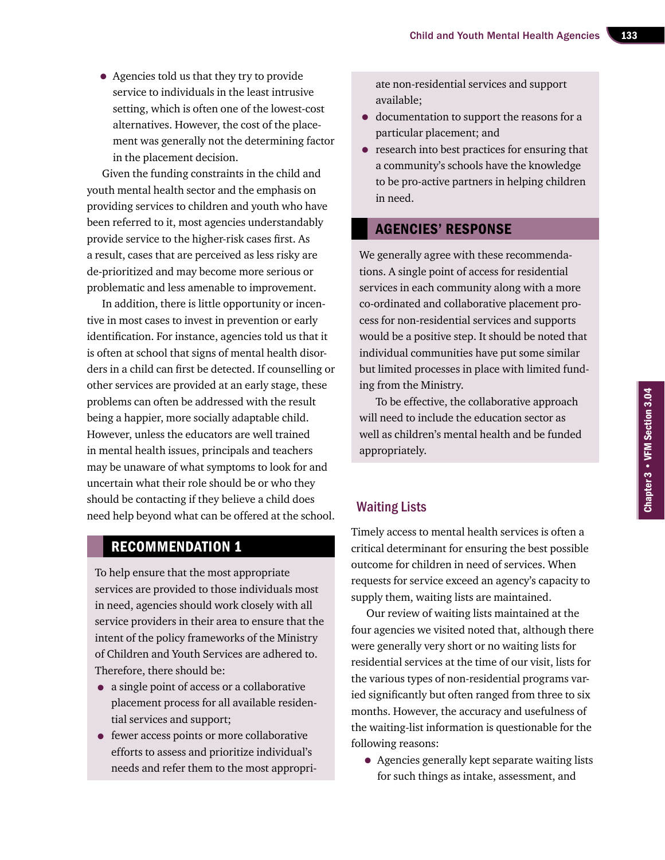• Agencies told us that they try to provide service to individuals in the least intrusive setting, which is often one of the lowest-cost alternatives. However, the cost of the placement was generally not the determining factor in the placement decision.

Given the funding constraints in the child and youth mental health sector and the emphasis on providing services to children and youth who have been referred to it, most agencies understandably provide service to the higher-risk cases first. As a result, cases that are perceived as less risky are de-prioritized and may become more serious or problematic and less amenable to improvement.

In addition, there is little opportunity or incentive in most cases to invest in prevention or early identification. For instance, agencies told us that it is often at school that signs of mental health disorders in a child can first be detected. If counselling or other services are provided at an early stage, these problems can often be addressed with the result being a happier, more socially adaptable child. However, unless the educators are well trained in mental health issues, principals and teachers may be unaware of what symptoms to look for and uncertain what their role should be or who they should be contacting if they believe a child does should be conducing in they beneve a clinical docs<br>need help beyond what can be offered at the school.

#### Recommendation 1

To help ensure that the most appropriate services are provided to those individuals most in need, agencies should work closely with all service providers in their area to ensure that the intent of the policy frameworks of the Ministry of Children and Youth Services are adhered to. Therefore, there should be:

- a single point of access or a collaborative placement process for all available residential services and support;
- fewer access points or more collaborative efforts to assess and prioritize individual's needs and refer them to the most appropri-

ate non-residential services and support available;

- documentation to support the reasons for a particular placement; and
- research into best practices for ensuring that a community's schools have the knowledge to be pro-active partners in helping children in need.

#### Agencies' Response

We generally agree with these recommendations. A single point of access for residential services in each community along with a more co-ordinated and collaborative placement process for non-residential services and supports would be a positive step. It should be noted that individual communities have put some similar but limited processes in place with limited funding from the Ministry.

To be effective, the collaborative approach will need to include the education sector as well as children's mental health and be funded appropriately.

Timely access to mental health services is often a critical determinant for ensuring the best possible outcome for children in need of services. When requests for service exceed an agency's capacity to supply them, waiting lists are maintained.

Our review of waiting lists maintained at the four agencies we visited noted that, although there were generally very short or no waiting lists for residential services at the time of our visit, lists for the various types of non-residential programs varied significantly but often ranged from three to six months. However, the accuracy and usefulness of the waiting-list information is questionable for the following reasons:

• Agencies generally kept separate waiting lists for such things as intake, assessment, and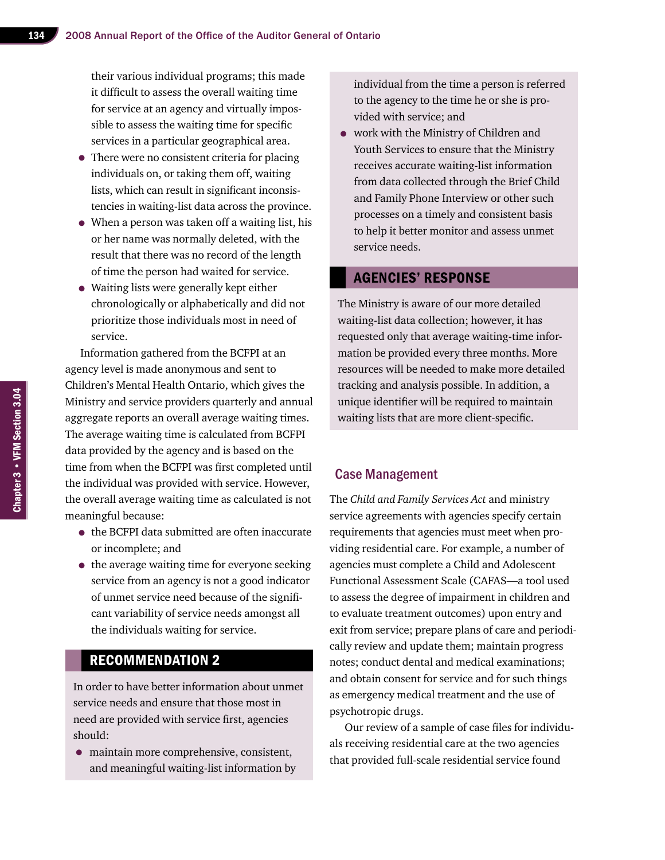their various individual programs; this made it difficult to assess the overall waiting time for service at an agency and virtually impossible to assess the waiting time for specific services in a particular geographical area.

- There were no consistent criteria for placing individuals on, or taking them off, waiting lists, which can result in significant inconsistencies in waiting-list data across the province.
- When a person was taken off a waiting list, his or her name was normally deleted, with the result that there was no record of the length of time the person had waited for service.
- Waiting lists were generally kept either chronologically or alphabetically and did not prioritize those individuals most in need of service.

Information gathered from the BCFPI at an agency level is made anonymous and sent to Children's Mental Health Ontario, which gives the Ministry and service providers quarterly and annual aggregate reports an overall average waiting times. The average waiting time is calculated from BCFPI data provided by the agency and is based on the time from when the BCFPI was first completed until the individual was provided with service. However, the overall average waiting time as calculated is not meaningful because:

- the BCFPI data submitted are often inaccurate or incomplete; and
- the average waiting time for everyone seeking service from an agency is not a good indicator of unmet service need because of the significant variability of service needs amongst all the individuals waiting for service.

#### Recommendation 2

In order to have better information about unmet service needs and ensure that those most in need are provided with service first, agencies should:

• maintain more comprehensive, consistent, and meaningful waiting-list information by individual from the time a person is referred to the agency to the time he or she is provided with service; and

• work with the Ministry of Children and Youth Services to ensure that the Ministry receives accurate waiting-list information from data collected through the Brief Child and Family Phone Interview or other such processes on a timely and consistent basis to help it better monitor and assess unmet service needs.

#### Agencies' Response

The Ministry is aware of our more detailed waiting-list data collection; however, it has requested only that average waiting-time information be provided every three months. More resources will be needed to make more detailed tracking and analysis possible. In addition, a unique identifier will be required to maintain waiting lists that are more client-specific.

#### Case Management

The *Child and Family Services Act* and ministry service agreements with agencies specify certain requirements that agencies must meet when providing residential care. For example, a number of agencies must complete a Child and Adolescent Functional Assessment Scale (CAFAS—a tool used to assess the degree of impairment in children and to evaluate treatment outcomes) upon entry and exit from service; prepare plans of care and periodically review and update them; maintain progress notes; conduct dental and medical examinations; and obtain consent for service and for such things as emergency medical treatment and the use of psychotropic drugs.

Our review of a sample of case files for individuals receiving residential care at the two agencies that provided full-scale residential service found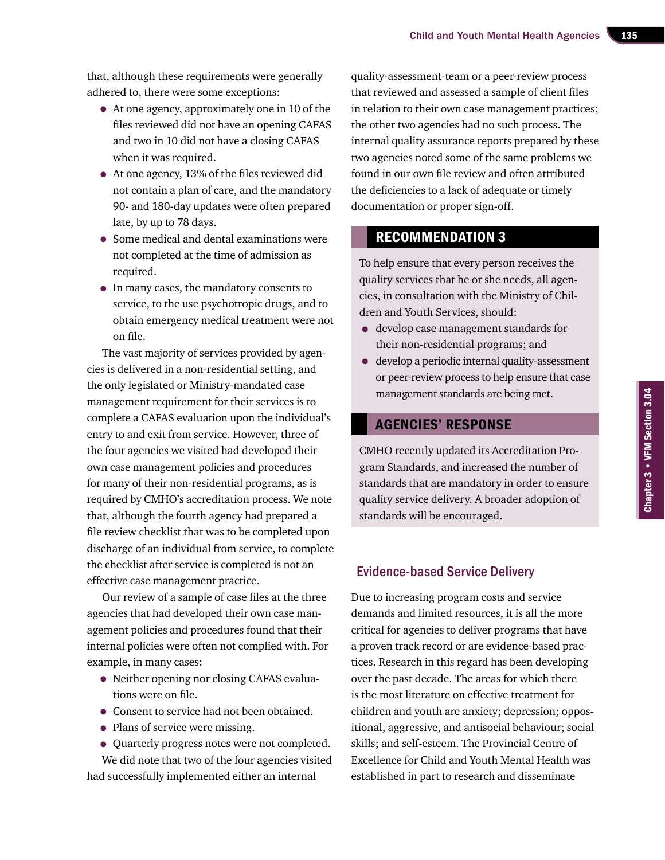that, although these requirements were generally adhered to, there were some exceptions:

- At one agency, approximately one in 10 of the files reviewed did not have an opening CAFAS and two in 10 did not have a closing CAFAS when it was required.
- At one agency, 13% of the files reviewed did not contain a plan of care, and the mandatory 90- and 180-day updates were often prepared late, by up to 78 days.
- Some medical and dental examinations were not completed at the time of admission as required.
- In many cases, the mandatory consents to service, to the use psychotropic drugs, and to obtain emergency medical treatment were not on file.

The vast majority of services provided by agencies is delivered in a non-residential setting, and the only legislated or Ministry-mandated case management requirement for their services is to complete a CAFAS evaluation upon the individual's entry to and exit from service. However, three of the four agencies we visited had developed their own case management policies and procedures for many of their non-residential programs, as is required by CMHO's accreditation process. We note that, although the fourth agency had prepared a file review checklist that was to be completed upon discharge of an individual from service, to complete the checklist after service is completed is not an effective case management practice.

Our review of a sample of case files at the three agencies that had developed their own case management policies and procedures found that their internal policies were often not complied with. For example, in many cases:

- Neither opening nor closing CAFAS evaluations were on file.
- Consent to service had not been obtained.
- Plans of service were missing.
- Quarterly progress notes were not completed.

We did note that two of the four agencies visited had successfully implemented either an internal

quality-assessment-team or a peer-review process that reviewed and assessed a sample of client files in relation to their own case management practices; the other two agencies had no such process. The internal quality assurance reports prepared by these two agencies noted some of the same problems we found in our own file review and often attributed the deficiencies to a lack of adequate or timely documentation or proper sign-off.

#### Recommendation 3

To help ensure that every person receives the quality services that he or she needs, all agencies, in consultation with the Ministry of Children and Youth Services, should:

- develop case management standards for their non-residential programs; and
- develop a periodic internal quality-assessment or peer-review process to help ensure that case management standards are being met.

#### Agencies' Response

CMHO recently updated its Accreditation Program Standards, and increased the number of standards that are mandatory in order to ensure quality service delivery. A broader adoption of standards will be encouraged.

#### Evidence-based Service Delivery

Due to increasing program costs and service demands and limited resources, it is all the more critical for agencies to deliver programs that have a proven track record or are evidence-based practices. Research in this regard has been developing over the past decade. The areas for which there is the most literature on effective treatment for children and youth are anxiety; depression; oppositional, aggressive, and antisocial behaviour; social skills; and self-esteem. The Provincial Centre of Excellence for Child and Youth Mental Health was established in part to research and disseminate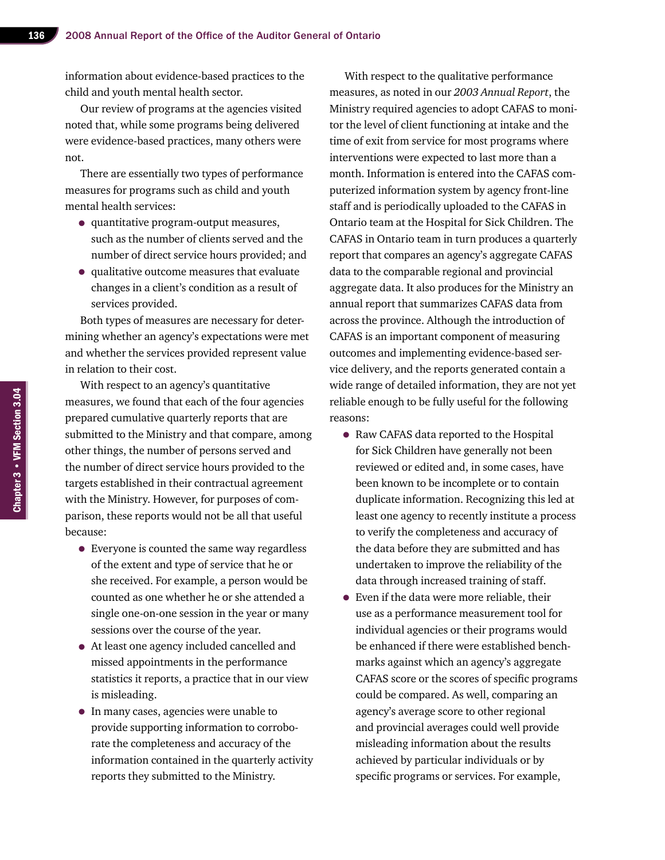information about evidence-based practices to the child and youth mental health sector.

Our review of programs at the agencies visited noted that, while some programs being delivered were evidence-based practices, many others were not.

There are essentially two types of performance measures for programs such as child and youth mental health services:

- quantitative program-output measures, such as the number of clients served and the number of direct service hours provided; and
- qualitative outcome measures that evaluate changes in a client's condition as a result of services provided.

Both types of measures are necessary for determining whether an agency's expectations were met and whether the services provided represent value in relation to their cost.

With respect to an agency's quantitative measures, we found that each of the four agencies prepared cumulative quarterly reports that are submitted to the Ministry and that compare, among other things, the number of persons served and the number of direct service hours provided to the targets established in their contractual agreement with the Ministry. However, for purposes of comparison, these reports would not be all that useful because:

- Everyone is counted the same way regardless of the extent and type of service that he or she received. For example, a person would be counted as one whether he or she attended a single one-on-one session in the year or many sessions over the course of the year.
- At least one agency included cancelled and missed appointments in the performance statistics it reports, a practice that in our view is misleading.
- In many cases, agencies were unable to provide supporting information to corroborate the completeness and accuracy of the information contained in the quarterly activity reports they submitted to the Ministry.

With respect to the qualitative performance measures, as noted in our *2003 Annual Report*, the Ministry required agencies to adopt CAFAS to monitor the level of client functioning at intake and the time of exit from service for most programs where interventions were expected to last more than a month. Information is entered into the CAFAS computerized information system by agency front-line staff and is periodically uploaded to the CAFAS in Ontario team at the Hospital for Sick Children. The CAFAS in Ontario team in turn produces a quarterly report that compares an agency's aggregate CAFAS data to the comparable regional and provincial aggregate data. It also produces for the Ministry an annual report that summarizes CAFAS data from across the province. Although the introduction of CAFAS is an important component of measuring outcomes and implementing evidence-based service delivery, and the reports generated contain a wide range of detailed information, they are not yet reliable enough to be fully useful for the following reasons:

- Raw CAFAS data reported to the Hospital for Sick Children have generally not been reviewed or edited and, in some cases, have been known to be incomplete or to contain duplicate information. Recognizing this led at least one agency to recently institute a process to verify the completeness and accuracy of the data before they are submitted and has undertaken to improve the reliability of the data through increased training of staff.
- Even if the data were more reliable, their use as a performance measurement tool for individual agencies or their programs would be enhanced if there were established benchmarks against which an agency's aggregate CAFAS score or the scores of specific programs could be compared. As well, comparing an agency's average score to other regional and provincial averages could well provide misleading information about the results achieved by particular individuals or by specific programs or services. For example,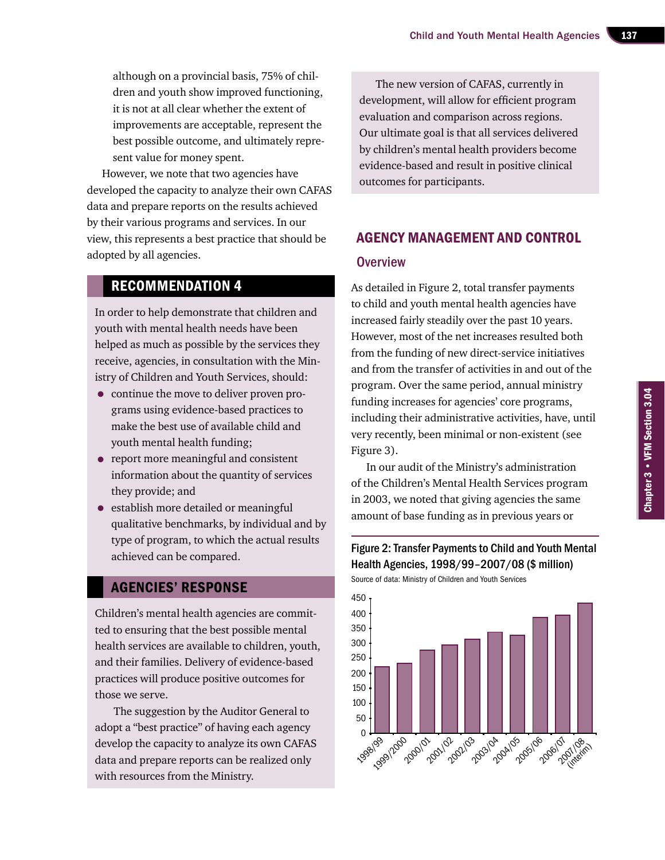although on a provincial basis, 75% of children and youth show improved functioning, it is not at all clear whether the extent of improvements are acceptable, represent the best possible outcome, and ultimately represent value for money spent.

However, we note that two agencies have developed the capacity to analyze their own CAFAS data and prepare reports on the results achieved by their various programs and services. In our view, this represents a best practice that should be adopted by all agencies.

#### Recommendation 4

In order to help demonstrate that children and youth with mental health needs have been helped as much as possible by the services they receive, agencies, in consultation with the Ministry of Children and Youth Services, should:

- continue the move to deliver proven programs using evidence-based practices to make the best use of available child and youth mental health funding;
- report more meaningful and consistent information about the quantity of services they provide; and
- establish more detailed or meaningful qualitative benchmarks, by individual and by type of program, to which the actual results achieved can be compared.

#### Agencies' Response

Children's mental health agencies are committed to ensuring that the best possible mental health services are available to children, youth, and their families. Delivery of evidence-based practices will produce positive outcomes for those we serve.

 The suggestion by the Auditor General to adopt a "best practice" of having each agency develop the capacity to analyze its own CAFAS data and prepare reports can be realized only with resources from the Ministry.

The new version of CAFAS, currently in development, will allow for efficient program evaluation and comparison across regions. Our ultimate goal is that all services delivered by children's mental health providers become evidence-based and result in positive clinical outcomes for participants.

### Agency Management and Control

#### **Overview**

As detailed in Figure 2, total transfer payments to child and youth mental health agencies have increased fairly steadily over the past 10 years. However, most of the net increases resulted both from the funding of new direct-service initiatives and from the transfer of activities in and out of the program. Over the same period, annual ministry funding increases for agencies' core programs, including their administrative activities, have, until very recently, been minimal or non-existent (see Figure 3).

In our audit of the Ministry's administration of the Children's Mental Health Services program in 2003, we noted that giving agencies the same amount of base funding as in previous years or

#### Figure 2: Transfer Payments to Child and Youth Mental Health Agencies, 1998/99–2007/08 (\$ million) Source of data: Ministry of Children and Youth Services

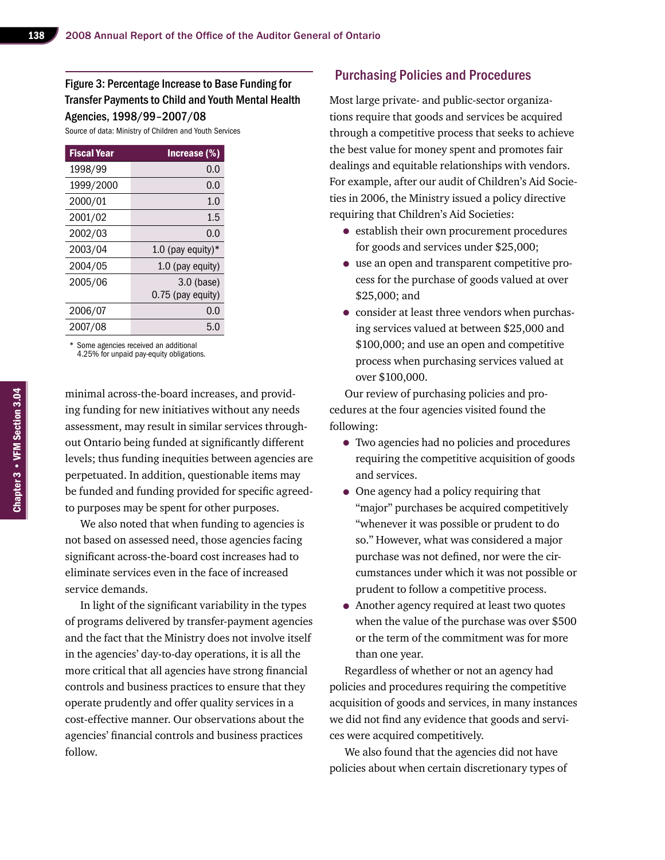#### Figure 3: Percentage Increase to Base Funding for Transfer Payments to Child and Youth Mental Health Agencies, 1998/99–2007/08

Source of data: Ministry of Children and Youth Services

| <b>Fiscal Year</b> | Increase (%)         |
|--------------------|----------------------|
| 1998/99            | 0.0                  |
| 1999/2000          | 0.0                  |
| 2000/01            | 1.0                  |
| 2001/02            | 1.5                  |
| 2002/03            | 0.0                  |
| 2003/04            | 1.0 (pay equity) $*$ |
| 2004/05            | 1.0 (pay equity)     |
| 2005/06            | 3.0 (base)           |
|                    | 0.75 (pay equity)    |
| 2006/07            | 0.0                  |
| 2007/08            | 5.0                  |

\* Some agencies received an additional 4.25% for unpaid pay-equity obligations.

minimal across-the-board increases, and providing funding for new initiatives without any needs assessment, may result in similar services throughout Ontario being funded at significantly different levels; thus funding inequities between agencies are perpetuated. In addition, questionable items may be funded and funding provided for specific agreedto purposes may be spent for other purposes.

We also noted that when funding to agencies is not based on assessed need, those agencies facing significant across-the-board cost increases had to eliminate services even in the face of increased service demands.

In light of the significant variability in the types of programs delivered by transfer-payment agencies and the fact that the Ministry does not involve itself in the agencies' day-to-day operations, it is all the more critical that all agencies have strong financial controls and business practices to ensure that they operate prudently and offer quality services in a cost-effective manner. Our observations about the agencies' financial controls and business practices follow.

#### Purchasing Policies and Procedures

Most large private- and public-sector organizations require that goods and services be acquired through a competitive process that seeks to achieve the best value for money spent and promotes fair dealings and equitable relationships with vendors. For example, after our audit of Children's Aid Societies in 2006, the Ministry issued a policy directive requiring that Children's Aid Societies:

- establish their own procurement procedures for goods and services under \$25,000;
- use an open and transparent competitive process for the purchase of goods valued at over \$25,000; and
- consider at least three vendors when purchasing services valued at between \$25,000 and \$100,000; and use an open and competitive process when purchasing services valued at over \$100,000.

Our review of purchasing policies and procedures at the four agencies visited found the following:

- Two agencies had no policies and procedures requiring the competitive acquisition of goods and services.
- One agency had a policy requiring that "major" purchases be acquired competitively "whenever it was possible or prudent to do so." However, what was considered a major purchase was not defined, nor were the circumstances under which it was not possible or prudent to follow a competitive process.
- Another agency required at least two quotes when the value of the purchase was over \$500 or the term of the commitment was for more than one year.

Regardless of whether or not an agency had policies and procedures requiring the competitive acquisition of goods and services, in many instances we did not find any evidence that goods and services were acquired competitively.

We also found that the agencies did not have policies about when certain discretionary types of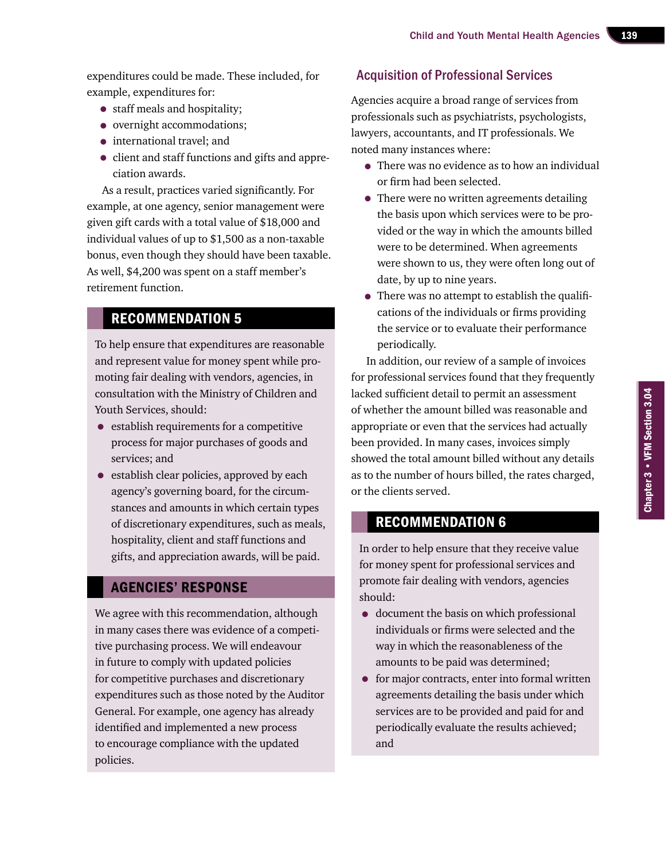expenditures could be made. These included, for example, expenditures for:

- staff meals and hospitality;
- overnight accommodations;
- international travel; and
- client and staff functions and gifts and appreciation awards.

As a result, practices varied significantly. For example, at one agency, senior management were given gift cards with a total value of \$18,000 and individual values of up to \$1,500 as a non-taxable bonus, even though they should have been taxable. As well, \$4,200 was spent on a staff member's retirement function.

# Recommendation 5

To help ensure that expenditures are reasonable and represent value for money spent while promoting fair dealing with vendors, agencies, in consultation with the Ministry of Children and Youth Services, should:

- establish requirements for a competitive process for major purchases of goods and services; and
- establish clear policies, approved by each agency's governing board, for the circumstances and amounts in which certain types of discretionary expenditures, such as meals, hospitality, client and staff functions and gifts, and appreciation awards, will be paid.

#### Agencies' Response

We agree with this recommendation, although in many cases there was evidence of a competitive purchasing process. We will endeavour in future to comply with updated policies for competitive purchases and discretionary expenditures such as those noted by the Auditor General. For example, one agency has already identified and implemented a new process to encourage compliance with the updated policies.

#### Acquisition of Professional Services

Agencies acquire a broad range of services from professionals such as psychiatrists, psychologists, lawyers, accountants, and IT professionals. We noted many instances where:

- There was no evidence as to how an individual or firm had been selected.
- There were no written agreements detailing the basis upon which services were to be provided or the way in which the amounts billed were to be determined. When agreements were shown to us, they were often long out of date, by up to nine years.
- There was no attempt to establish the qualifications of the individuals or firms providing the service or to evaluate their performance periodically.

In addition, our review of a sample of invoices for professional services found that they frequently lacked sufficient detail to permit an assessment of whether the amount billed was reasonable and appropriate or even that the services had actually been provided. In many cases, invoices simply showed the total amount billed without any details as to the number of hours billed, the rates charged, or the clients served.

#### Recommendation 6

In order to help ensure that they receive value for money spent for professional services and promote fair dealing with vendors, agencies should:

- document the basis on which professional individuals or firms were selected and the way in which the reasonableness of the amounts to be paid was determined;
- for major contracts, enter into formal written agreements detailing the basis under which services are to be provided and paid for and periodically evaluate the results achieved; and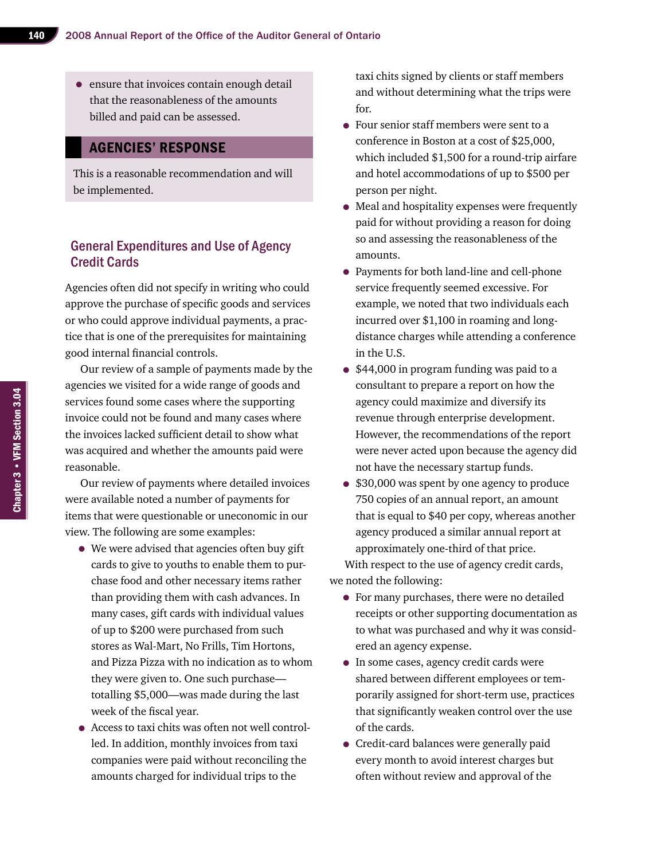• ensure that invoices contain enough detail that the reasonableness of the amounts billed and paid can be assessed.

#### Agencies' Response

This is a reasonable recommendation and will be implemented.

#### General Expenditures and Use of Agency Credit Cards

Agencies often did not specify in writing who could approve the purchase of specific goods and services or who could approve individual payments, a practice that is one of the prerequisites for maintaining good internal financial controls.

Our review of a sample of payments made by the agencies we visited for a wide range of goods and services found some cases where the supporting invoice could not be found and many cases where the invoices lacked sufficient detail to show what was acquired and whether the amounts paid were reasonable.

Our review of payments where detailed invoices were available noted a number of payments for items that were questionable or uneconomic in our view. The following are some examples:

- We were advised that agencies often buy gift cards to give to youths to enable them to purchase food and other necessary items rather than providing them with cash advances. In many cases, gift cards with individual values of up to \$200 were purchased from such stores as Wal-Mart, No Frills, Tim Hortons, and Pizza Pizza with no indication as to whom they were given to. One such purchase totalling \$5,000—was made during the last week of the fiscal year.
- Access to taxi chits was often not well controlled. In addition, monthly invoices from taxi companies were paid without reconciling the amounts charged for individual trips to the

taxi chits signed by clients or staff members and without determining what the trips were for.

- Four senior staff members were sent to a conference in Boston at a cost of \$25,000, which included \$1,500 for a round-trip airfare and hotel accommodations of up to \$500 per person per night.
- Meal and hospitality expenses were frequently paid for without providing a reason for doing so and assessing the reasonableness of the amounts.
- Payments for both land-line and cell-phone service frequently seemed excessive. For example, we noted that two individuals each incurred over \$1,100 in roaming and longdistance charges while attending a conference in the U.S.
- \$44,000 in program funding was paid to a consultant to prepare a report on how the agency could maximize and diversify its revenue through enterprise development. However, the recommendations of the report were never acted upon because the agency did not have the necessary startup funds.
- \$30,000 was spent by one agency to produce 750 copies of an annual report, an amount that is equal to \$40 per copy, whereas another agency produced a similar annual report at approximately one-third of that price.

With respect to the use of agency credit cards, we noted the following:

- For many purchases, there were no detailed receipts or other supporting documentation as to what was purchased and why it was considered an agency expense.
- In some cases, agency credit cards were shared between different employees or temporarily assigned for short-term use, practices that significantly weaken control over the use of the cards.
- Credit-card balances were generally paid every month to avoid interest charges but often without review and approval of the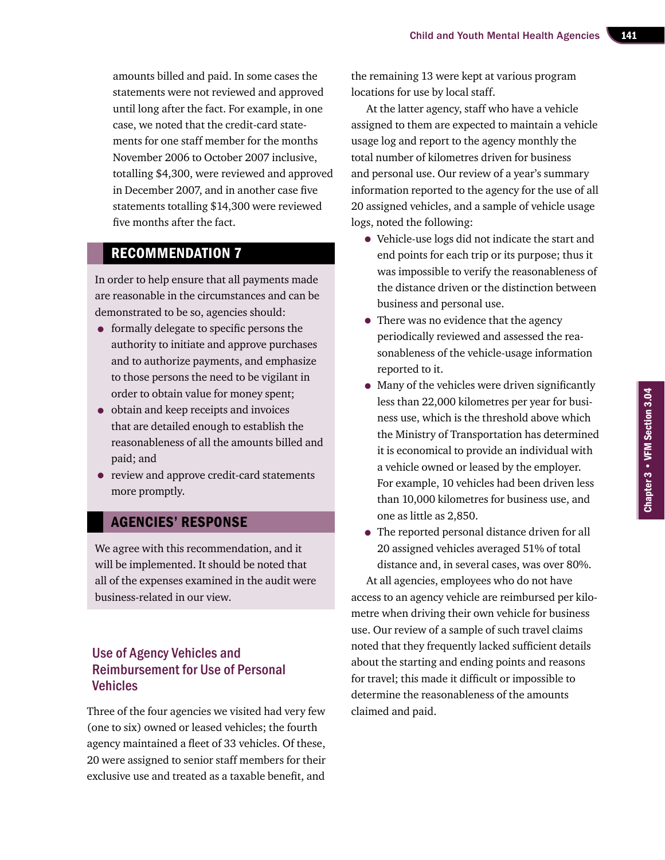amounts billed and paid. In some cases the statements were not reviewed and approved until long after the fact. For example, in one case, we noted that the credit-card statements for one staff member for the months November 2006 to October 2007 inclusive, totalling \$4,300, were reviewed and approved in December 2007, and in another case five statements totalling \$14,300 were reviewed five months after the fact.

#### Recommendation 7

In order to help ensure that all payments made are reasonable in the circumstances and can be demonstrated to be so, agencies should:

- formally delegate to specific persons the authority to initiate and approve purchases and to authorize payments, and emphasize to those persons the need to be vigilant in order to obtain value for money spent;
- obtain and keep receipts and invoices that are detailed enough to establish the reasonableness of all the amounts billed and paid; and
- review and approve credit-card statements more promptly.

#### Agencies' Response

We agree with this recommendation, and it will be implemented. It should be noted that all of the expenses examined in the audit were business-related in our view.

#### Use of Agency Vehicles and Reimbursement for Use of Personal Vehicles

Three of the four agencies we visited had very few (one to six) owned or leased vehicles; the fourth agency maintained a fleet of 33 vehicles. Of these, 20 were assigned to senior staff members for their exclusive use and treated as a taxable benefit, and

the remaining 13 were kept at various program locations for use by local staff.

At the latter agency, staff who have a vehicle assigned to them are expected to maintain a vehicle usage log and report to the agency monthly the total number of kilometres driven for business and personal use. Our review of a year's summary information reported to the agency for the use of all 20 assigned vehicles, and a sample of vehicle usage logs, noted the following:

- Vehicle-use logs did not indicate the start and end points for each trip or its purpose; thus it was impossible to verify the reasonableness of the distance driven or the distinction between business and personal use.
- There was no evidence that the agency periodically reviewed and assessed the reasonableness of the vehicle-usage information reported to it.
- Many of the vehicles were driven significantly less than 22,000 kilometres per year for business use, which is the threshold above which the Ministry of Transportation has determined it is economical to provide an individual with a vehicle owned or leased by the employer. For example, 10 vehicles had been driven less than 10,000 kilometres for business use, and one as little as 2,850.
- The reported personal distance driven for all 20 assigned vehicles averaged 51% of total distance and, in several cases, was over 80%.

At all agencies, employees who do not have access to an agency vehicle are reimbursed per kilometre when driving their own vehicle for business use. Our review of a sample of such travel claims noted that they frequently lacked sufficient details about the starting and ending points and reasons for travel; this made it difficult or impossible to determine the reasonableness of the amounts claimed and paid.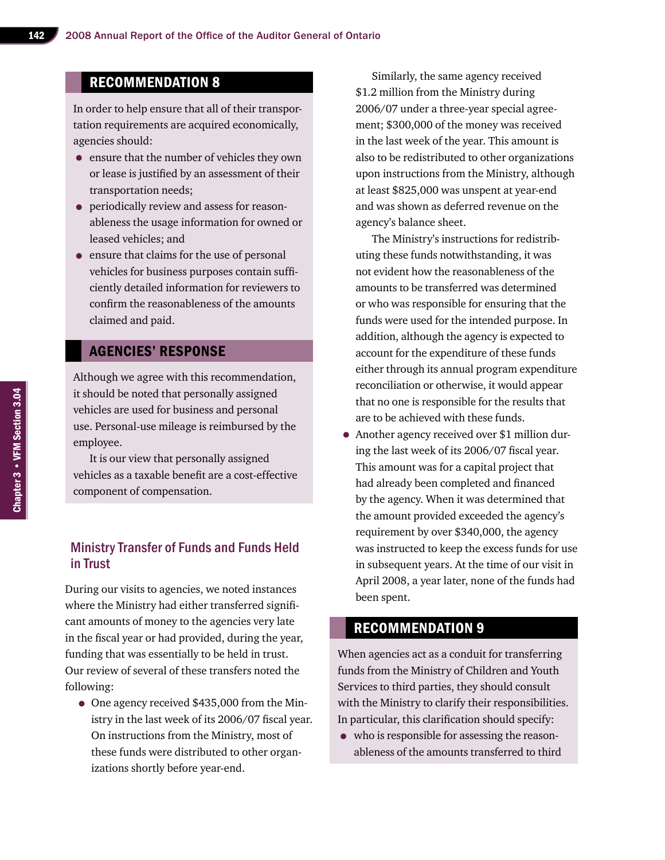### Recommendation 8

In order to help ensure that all of their transportation requirements are acquired economically, agencies should:

- ensure that the number of vehicles they own or lease is justified by an assessment of their transportation needs;
- periodically review and assess for reasonableness the usage information for owned or leased vehicles; and
- ensure that claims for the use of personal vehicles for business purposes contain sufficiently detailed information for reviewers to confirm the reasonableness of the amounts claimed and paid.

#### Agencies' Response

Although we agree with this recommendation, it should be noted that personally assigned vehicles are used for business and personal use. Personal-use mileage is reimbursed by the employee.

It is our view that personally assigned vehicles as a taxable benefit are a cost-effective component of compensation.

#### Ministry Transfer of Funds and Funds Held in Trust

During our visits to agencies, we noted instances where the Ministry had either transferred significant amounts of money to the agencies very late in the fiscal year or had provided, during the year, funding that was essentially to be held in trust. Our review of several of these transfers noted the following:

• One agency received \$435,000 from the Ministry in the last week of its 2006/07 fiscal year. On instructions from the Ministry, most of these funds were distributed to other organizations shortly before year-end.

Similarly, the same agency received \$1.2 million from the Ministry during 2006/07 under a three-year special agreement; \$300,000 of the money was received in the last week of the year. This amount is also to be redistributed to other organizations upon instructions from the Ministry, although at least \$825,000 was unspent at year-end and was shown as deferred revenue on the agency's balance sheet.

The Ministry's instructions for redistributing these funds notwithstanding, it was not evident how the reasonableness of the amounts to be transferred was determined or who was responsible for ensuring that the funds were used for the intended purpose. In addition, although the agency is expected to account for the expenditure of these funds either through its annual program expenditure reconciliation or otherwise, it would appear that no one is responsible for the results that are to be achieved with these funds.

• Another agency received over \$1 million during the last week of its 2006/07 fiscal year. This amount was for a capital project that had already been completed and financed by the agency. When it was determined that the amount provided exceeded the agency's requirement by over \$340,000, the agency was instructed to keep the excess funds for use in subsequent years. At the time of our visit in April 2008, a year later, none of the funds had been spent.

#### Recommendation 9

When agencies act as a conduit for transferring funds from the Ministry of Children and Youth Services to third parties, they should consult with the Ministry to clarify their responsibilities. In particular, this clarification should specify:

• who is responsible for assessing the reasonableness of the amounts transferred to third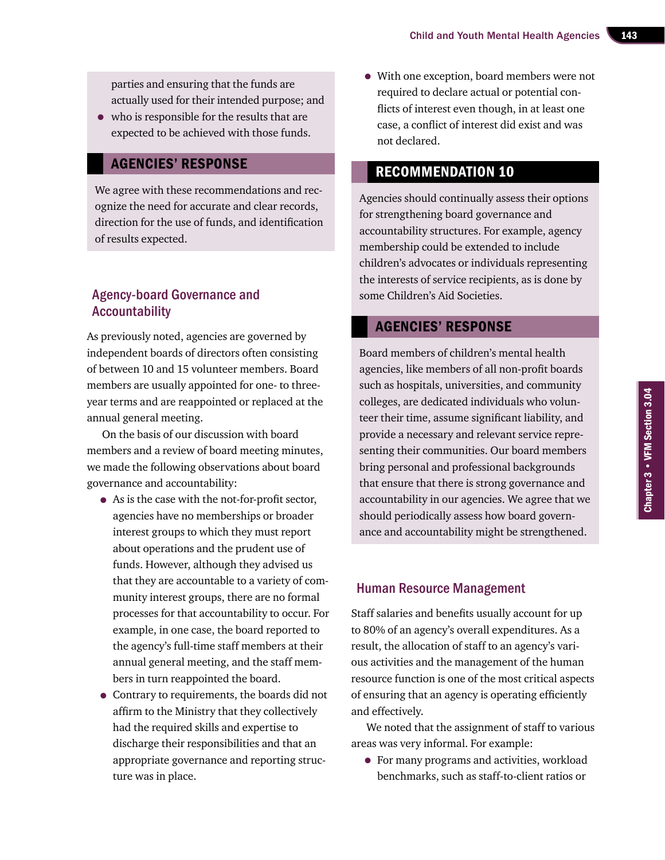parties and ensuring that the funds are actually used for their intended purpose; and

• who is responsible for the results that are expected to be achieved with those funds.

#### Agencies' Response

We agree with these recommendations and recognize the need for accurate and clear records, direction for the use of funds, and identification of results expected.

#### Agency-board Governance and Accountability

As previously noted, agencies are governed by independent boards of directors often consisting of between 10 and 15 volunteer members. Board members are usually appointed for one- to threeyear terms and are reappointed or replaced at the annual general meeting.

On the basis of our discussion with board members and a review of board meeting minutes, we made the following observations about board governance and accountability:

- As is the case with the not-for-profit sector, agencies have no memberships or broader interest groups to which they must report about operations and the prudent use of funds. However, although they advised us that they are accountable to a variety of community interest groups, there are no formal processes for that accountability to occur. For example, in one case, the board reported to the agency's full-time staff members at their annual general meeting, and the staff members in turn reappointed the board.
- Contrary to requirements, the boards did not affirm to the Ministry that they collectively had the required skills and expertise to discharge their responsibilities and that an appropriate governance and reporting structure was in place.

• With one exception, board members were not required to declare actual or potential conflicts of interest even though, in at least one case, a conflict of interest did exist and was not declared.

#### Recommendation 10

Agencies should continually assess their options for strengthening board governance and accountability structures. For example, agency membership could be extended to include children's advocates or individuals representing the interests of service recipients, as is done by some Children's Aid Societies.

#### Agencies' Response

Board members of children's mental health agencies, like members of all non-profit boards such as hospitals, universities, and community colleges, are dedicated individuals who volunteer their time, assume significant liability, and provide a necessary and relevant service representing their communities. Our board members bring personal and professional backgrounds that ensure that there is strong governance and accountability in our agencies. We agree that we should periodically assess how board governance and accountability might be strengthened.

#### Human Resource Management

Staff salaries and benefits usually account for up to 80% of an agency's overall expenditures. As a result, the allocation of staff to an agency's various activities and the management of the human resource function is one of the most critical aspects of ensuring that an agency is operating efficiently and effectively.

We noted that the assignment of staff to various areas was very informal. For example:

• For many programs and activities, workload benchmarks, such as staff-to-client ratios or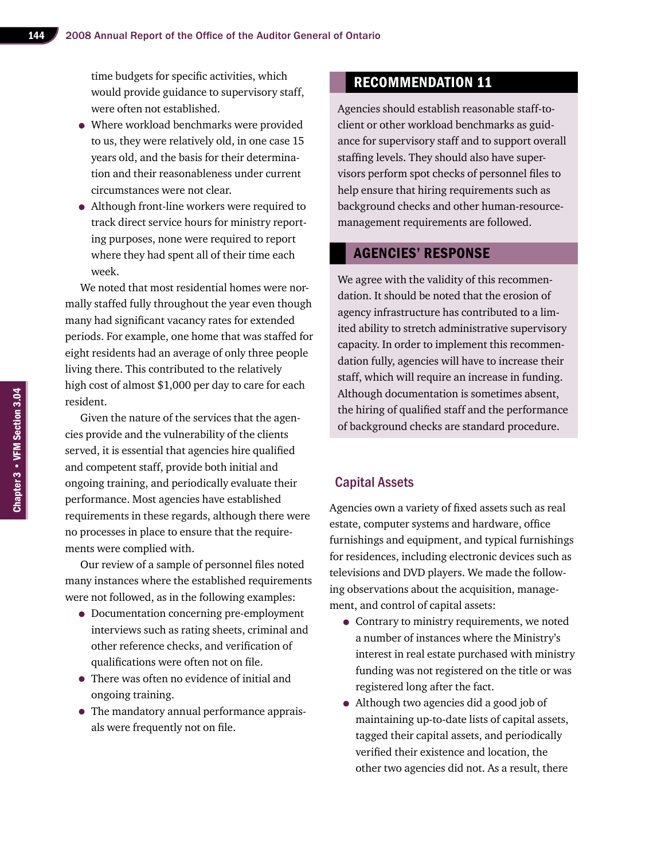time budgets for specific activities, which would provide guidance to supervisory staff, were often not established.

- Where workload benchmarks were provided to us, they were relatively old, in one case 15 years old, and the basis for their determination and their reasonableness under current circumstances were not clear.
- Although front-line workers were required to track direct service hours for ministry reporting purposes, none were required to report where they had spent all of their time each week.

We noted that most residential homes were normally staffed fully throughout the year even though many had significant vacancy rates for extended periods. For example, one home that was staffed for eight residents had an average of only three people living there. This contributed to the relatively high cost of almost \$1,000 per day to care for each resident.

Given the nature of the services that the agencies provide and the vulnerability of the clients served, it is essential that agencies hire qualified and competent staff, provide both initial and ongoing training, and periodically evaluate their performance. Most agencies have established requirements in these regards, although there were no processes in place to ensure that the requirements were complied with.

Our review of a sample of personnel files noted many instances where the established requirements were not followed, as in the following examples:

- Documentation concerning pre-employment interviews such as rating sheets, criminal and other reference checks, and verification of qualifications were often not on file.
- There was often no evidence of initial and ongoing training.
- The mandatory annual performance appraisals were frequently not on file.

#### Recommendation 11

Agencies should establish reasonable staff-toclient or other workload benchmarks as guidance for supervisory staff and to support overall staffing levels. They should also have supervisors perform spot checks of personnel files to help ensure that hiring requirements such as background checks and other human-resourcemanagement requirements are followed.

#### Agencies' Response

We agree with the validity of this recommendation. It should be noted that the erosion of agency infrastructure has contributed to a limited ability to stretch administrative supervisory capacity. In order to implement this recommendation fully, agencies will have to increase their staff, which will require an increase in funding. Although documentation is sometimes absent, the hiring of qualified staff and the performance of background checks are standard procedure.

#### Capital Assets

Agencies own a variety of fixed assets such as real estate, computer systems and hardware, office furnishings and equipment, and typical furnishings for residences, including electronic devices such as televisions and DVD players. We made the following observations about the acquisition, management, and control of capital assets:

- Contrary to ministry requirements, we noted a number of instances where the Ministry's interest in real estate purchased with ministry funding was not registered on the title or was registered long after the fact.
- Although two agencies did a good job of maintaining up-to-date lists of capital assets, tagged their capital assets, and periodically verified their existence and location, the other two agencies did not. As a result, there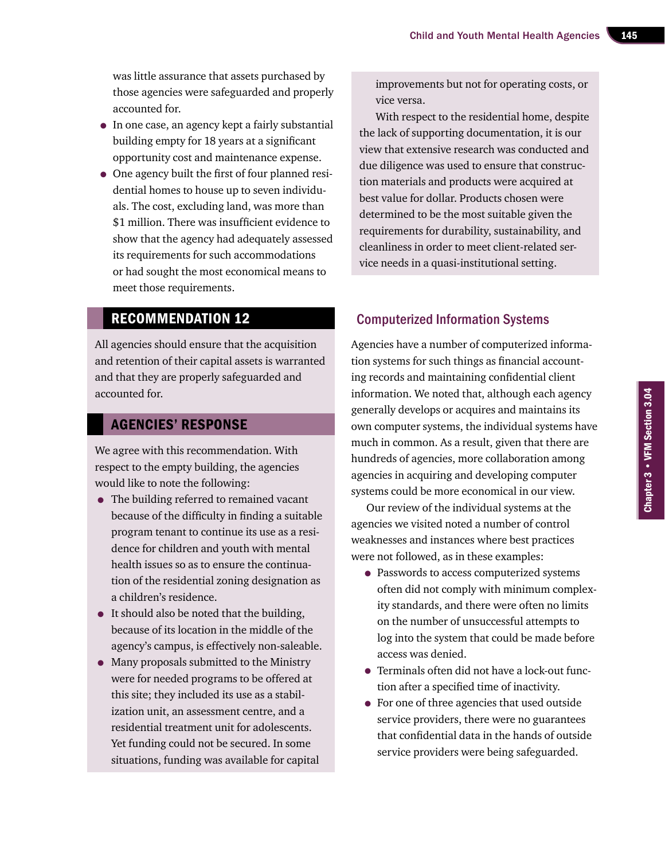was little assurance that assets purchased by those agencies were safeguarded and properly accounted for.

- In one case, an agency kept a fairly substantial building empty for 18 years at a significant opportunity cost and maintenance expense.
- One agency built the first of four planned residential homes to house up to seven individuals. The cost, excluding land, was more than \$1 million. There was insufficient evidence to show that the agency had adequately assessed its requirements for such accommodations or had sought the most economical means to meet those requirements.

#### Recommendation 12

All agencies should ensure that the acquisition and retention of their capital assets is warranted and that they are properly safeguarded and accounted for.

#### Agencies' Response

We agree with this recommendation. With respect to the empty building, the agencies would like to note the following:

- The building referred to remained vacant because of the difficulty in finding a suitable program tenant to continue its use as a residence for children and youth with mental health issues so as to ensure the continuation of the residential zoning designation as a children's residence.
- It should also be noted that the building, because of its location in the middle of the agency's campus, is effectively non-saleable.
- Many proposals submitted to the Ministry were for needed programs to be offered at this site; they included its use as a stabilization unit, an assessment centre, and a residential treatment unit for adolescents. Yet funding could not be secured. In some situations, funding was available for capital

improvements but not for operating costs, or vice versa.

With respect to the residential home, despite the lack of supporting documentation, it is our view that extensive research was conducted and due diligence was used to ensure that construction materials and products were acquired at best value for dollar. Products chosen were determined to be the most suitable given the requirements for durability, sustainability, and cleanliness in order to meet client-related service needs in a quasi-institutional setting.

### Computerized Information Systems

Agencies have a number of computerized information systems for such things as financial accounting records and maintaining confidential client information. We noted that, although each agency generally develops or acquires and maintains its own computer systems, the individual systems have much in common. As a result, given that there are hundreds of agencies, more collaboration among agencies in acquiring and developing computer systems could be more economical in our view.

Our review of the individual systems at the agencies we visited noted a number of control weaknesses and instances where best practices were not followed, as in these examples:

- Passwords to access computerized systems often did not comply with minimum complexity standards, and there were often no limits on the number of unsuccessful attempts to log into the system that could be made before access was denied.
- Terminals often did not have a lock-out function after a specified time of inactivity.
- For one of three agencies that used outside service providers, there were no guarantees that confidential data in the hands of outside service providers were being safeguarded.